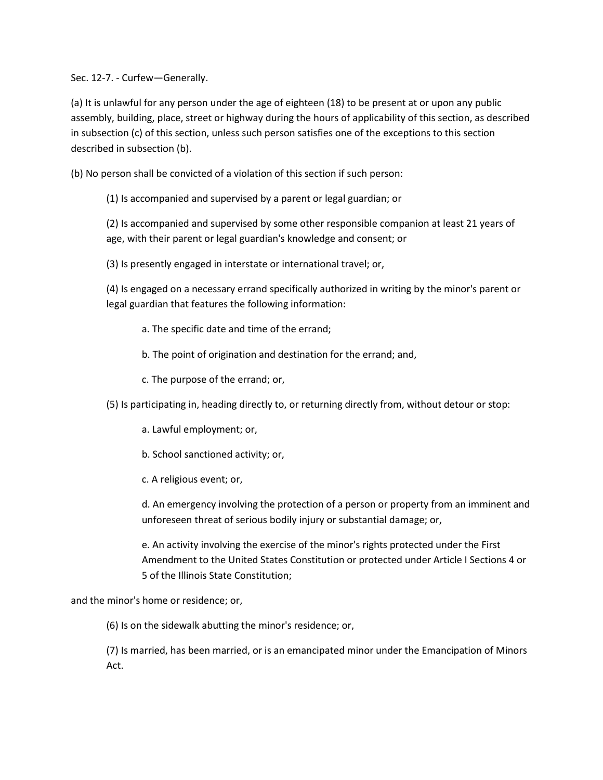Sec. 12-7. - Curfew—Generally.

(a) It is unlawful for any person under the age of eighteen (18) to be present at or upon any public assembly, building, place, street or highway during the hours of applicability of this section, as described in subsection (c) of this section, unless such person satisfies one of the exceptions to this section described in subsection (b).

(b) No person shall be convicted of a violation of this section if such person:

(1) Is accompanied and supervised by a parent or legal guardian; or

(2) Is accompanied and supervised by some other responsible companion at least 21 years of age, with their parent or legal guardian's knowledge and consent; or

(3) Is presently engaged in interstate or international travel; or,

(4) Is engaged on a necessary errand specifically authorized in writing by the minor's parent or legal guardian that features the following information:

a. The specific date and time of the errand;

b. The point of origination and destination for the errand; and,

c. The purpose of the errand; or,

(5) Is participating in, heading directly to, or returning directly from, without detour or stop:

a. Lawful employment; or,

b. School sanctioned activity; or,

c. A religious event; or,

d. An emergency involving the protection of a person or property from an imminent and unforeseen threat of serious bodily injury or substantial damage; or,

e. An activity involving the exercise of the minor's rights protected under the First Amendment to the United States Constitution or protected under Article I Sections 4 or 5 of the Illinois State Constitution;

and the minor's home or residence; or,

(6) Is on the sidewalk abutting the minor's residence; or,

(7) Is married, has been married, or is an emancipated minor under the Emancipation of Minors Act.